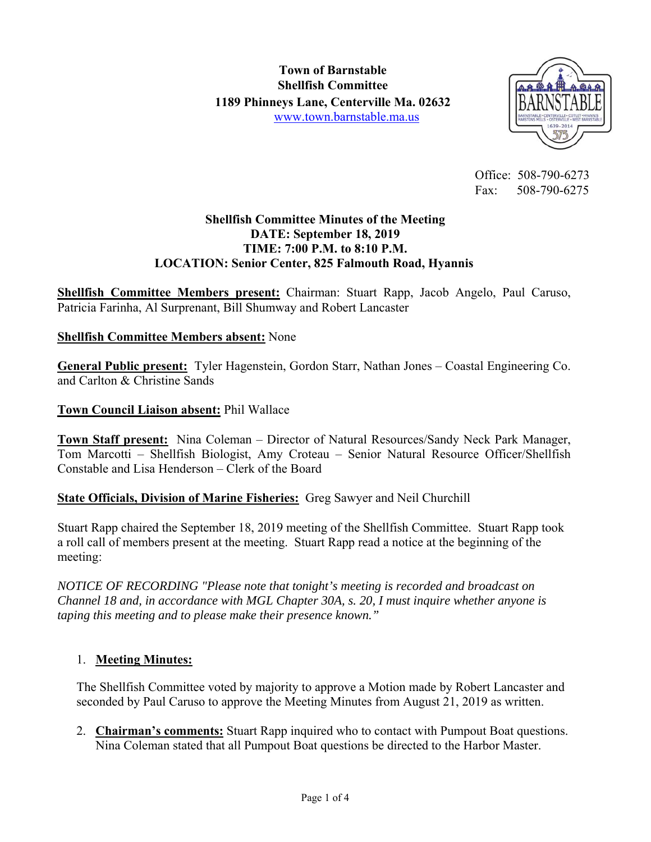

 Office: 508-790-6273 Fax: 508-790-6275

#### **Shellfish Committee Minutes of the Meeting DATE: September 18, 2019 TIME: 7:00 P.M. to 8:10 P.M. LOCATION: Senior Center, 825 Falmouth Road, Hyannis**

**Shellfish Committee Members present:** Chairman: Stuart Rapp, Jacob Angelo, Paul Caruso, Patricia Farinha, Al Surprenant, Bill Shumway and Robert Lancaster

#### **Shellfish Committee Members absent:** None

**General Public present:** Tyler Hagenstein, Gordon Starr, Nathan Jones – Coastal Engineering Co. and Carlton & Christine Sands

#### **Town Council Liaison absent:** Phil Wallace

**Town Staff present:** Nina Coleman – Director of Natural Resources/Sandy Neck Park Manager, Tom Marcotti – Shellfish Biologist, Amy Croteau – Senior Natural Resource Officer/Shellfish Constable and Lisa Henderson – Clerk of the Board

#### **State Officials, Division of Marine Fisheries:** Greg Sawyer and Neil Churchill

Stuart Rapp chaired the September 18, 2019 meeting of the Shellfish Committee. Stuart Rapp took a roll call of members present at the meeting. Stuart Rapp read a notice at the beginning of the meeting:

*NOTICE OF RECORDING "Please note that tonight's meeting is recorded and broadcast on Channel 18 and, in accordance with MGL Chapter 30A, s. 20, I must inquire whether anyone is taping this meeting and to please make their presence known."* 

#### 1. **Meeting Minutes:**

The Shellfish Committee voted by majority to approve a Motion made by Robert Lancaster and seconded by Paul Caruso to approve the Meeting Minutes from August 21, 2019 as written.

2. **Chairman's comments:** Stuart Rapp inquired who to contact with Pumpout Boat questions. Nina Coleman stated that all Pumpout Boat questions be directed to the Harbor Master.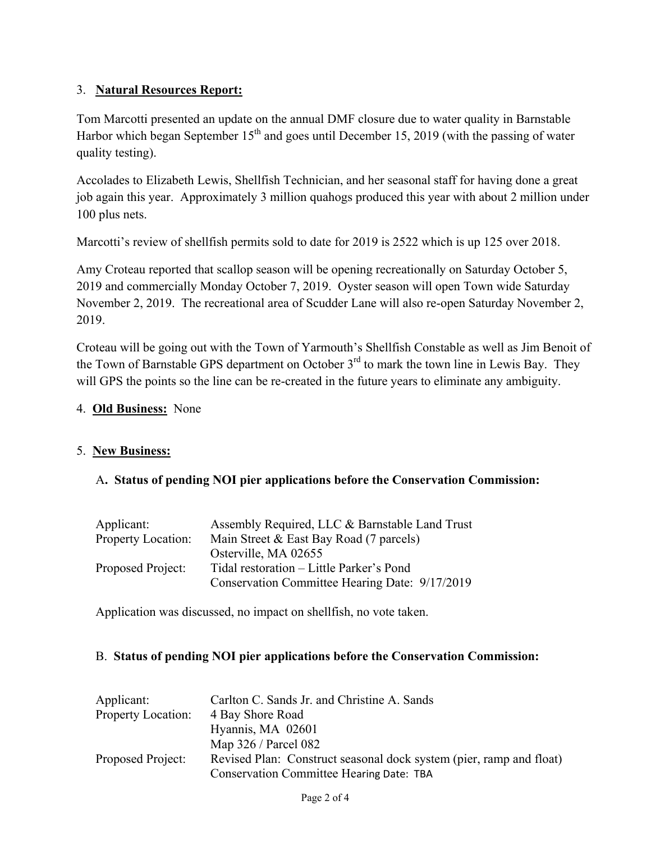## 3. **Natural Resources Report:**

Tom Marcotti presented an update on the annual DMF closure due to water quality in Barnstable Harbor which began September  $15<sup>th</sup>$  and goes until December 15, 2019 (with the passing of water quality testing).

Accolades to Elizabeth Lewis, Shellfish Technician, and her seasonal staff for having done a great job again this year. Approximately 3 million quahogs produced this year with about 2 million under 100 plus nets.

Marcotti's review of shellfish permits sold to date for 2019 is 2522 which is up 125 over 2018.

Amy Croteau reported that scallop season will be opening recreationally on Saturday October 5, 2019 and commercially Monday October 7, 2019. Oyster season will open Town wide Saturday November 2, 2019. The recreational area of Scudder Lane will also re-open Saturday November 2, 2019.

Croteau will be going out with the Town of Yarmouth's Shellfish Constable as well as Jim Benoit of the Town of Barnstable GPS department on October  $3<sup>rd</sup>$  to mark the town line in Lewis Bay. They will GPS the points so the line can be re-created in the future years to eliminate any ambiguity.

#### 4. **Old Business:** None

#### 5. **New Business:**

#### A**. Status of pending NOI pier applications before the Conservation Commission:**

| Applicant:                | Assembly Required, LLC & Barnstable Land Trust |
|---------------------------|------------------------------------------------|
| <b>Property Location:</b> | Main Street & East Bay Road (7 parcels)        |
|                           | Osterville, MA 02655                           |
| Proposed Project:         | Tidal restoration – Little Parker's Pond       |
|                           | Conservation Committee Hearing Date: 9/17/2019 |

Application was discussed, no impact on shellfish, no vote taken.

#### B. **Status of pending NOI pier applications before the Conservation Commission:**

| Applicant:                | Carlton C. Sands Jr. and Christine A. Sands                         |
|---------------------------|---------------------------------------------------------------------|
| <b>Property Location:</b> | 4 Bay Shore Road                                                    |
|                           | Hyannis, MA 02601                                                   |
|                           | Map 326 / Parcel 082                                                |
| Proposed Project:         | Revised Plan: Construct seasonal dock system (pier, ramp and float) |
|                           | <b>Conservation Committee Hearing Date: TBA</b>                     |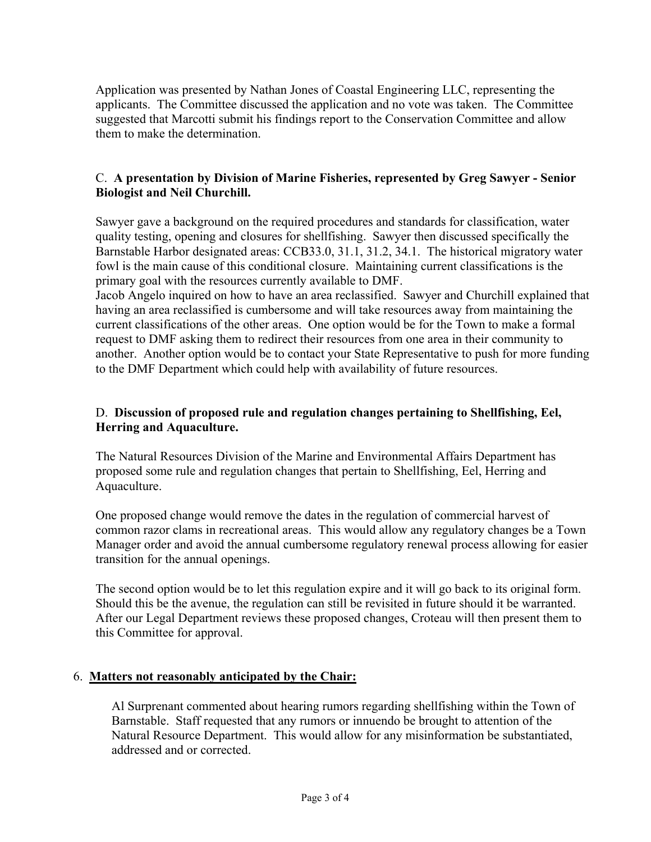Application was presented by Nathan Jones of Coastal Engineering LLC, representing the applicants. The Committee discussed the application and no vote was taken. The Committee suggested that Marcotti submit his findings report to the Conservation Committee and allow them to make the determination.

### C. **A presentation by Division of Marine Fisheries, represented by Greg Sawyer - Senior Biologist and Neil Churchill.**

Sawyer gave a background on the required procedures and standards for classification, water quality testing, opening and closures for shellfishing. Sawyer then discussed specifically the Barnstable Harbor designated areas: CCB33.0, 31.1, 31.2, 34.1. The historical migratory water fowl is the main cause of this conditional closure. Maintaining current classifications is the primary goal with the resources currently available to DMF.

Jacob Angelo inquired on how to have an area reclassified. Sawyer and Churchill explained that having an area reclassified is cumbersome and will take resources away from maintaining the current classifications of the other areas. One option would be for the Town to make a formal request to DMF asking them to redirect their resources from one area in their community to another. Another option would be to contact your State Representative to push for more funding to the DMF Department which could help with availability of future resources.

### D. **Discussion of proposed rule and regulation changes pertaining to Shellfishing, Eel, Herring and Aquaculture.**

The Natural Resources Division of the Marine and Environmental Affairs Department has proposed some rule and regulation changes that pertain to Shellfishing, Eel, Herring and Aquaculture.

One proposed change would remove the dates in the regulation of commercial harvest of common razor clams in recreational areas. This would allow any regulatory changes be a Town Manager order and avoid the annual cumbersome regulatory renewal process allowing for easier transition for the annual openings.

The second option would be to let this regulation expire and it will go back to its original form. Should this be the avenue, the regulation can still be revisited in future should it be warranted. After our Legal Department reviews these proposed changes, Croteau will then present them to this Committee for approval.

#### 6. **Matters not reasonably anticipated by the Chair:**

Al Surprenant commented about hearing rumors regarding shellfishing within the Town of Barnstable. Staff requested that any rumors or innuendo be brought to attention of the Natural Resource Department. This would allow for any misinformation be substantiated, addressed and or corrected.